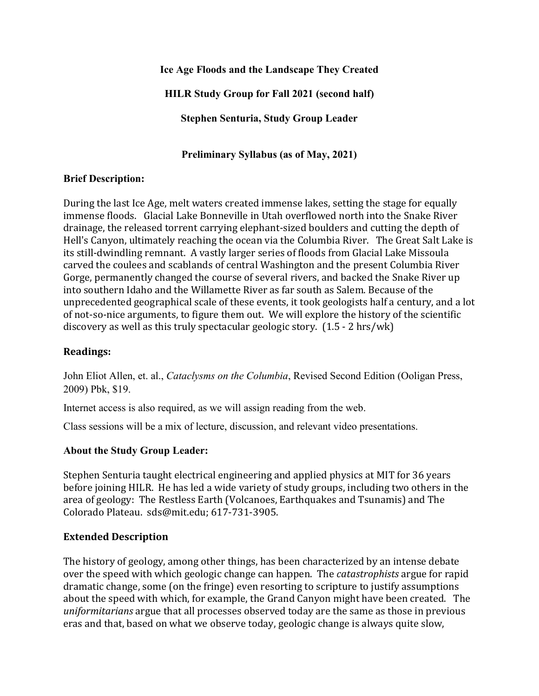**Ice Age Floods and the Landscape They Created**

**HILR Study Group for Fall 2021 (second half)**

**Stephen Senturia, Study Group Leader**

**Preliminary Syllabus (as of May, 2021)**

# **Brief Description:**

During the last Ice Age, melt waters created immense lakes, setting the stage for equally immense floods. Glacial Lake Bonneville in Utah overflowed north into the Snake River drainage, the released torrent carrying elephant-sized boulders and cutting the depth of Hell's Canyon, ultimately reaching the ocean via the Columbia River. The Great Salt Lake is its still-dwindling remnant. A vastly larger series of floods from Glacial Lake Missoula carved the coulees and scablands of central Washington and the present Columbia River Gorge, permanently changed the course of several rivers, and backed the Snake River up into southern Idaho and the Willamette River as far south as Salem. Because of the unprecedented geographical scale of these events, it took geologists half a century, and a lot of not-so-nice arguments, to figure them out. We will explore the history of the scientific discovery as well as this truly spectacular geologic story. (1.5 - 2 hrs/wk)

# **Readings:**

John Eliot Allen, et. al., *Cataclysms on the Columbia*, Revised Second Edition (Ooligan Press, 2009) Pbk, \$19.

Internet access is also required, as we will assign reading from the web.

Class sessions will be a mix of lecture, discussion, and relevant video presentations.

# **About the Study Group Leader:**

Stephen Senturia taught electrical engineering and applied physics at MIT for 36 years before joining HILR. He has led a wide variety of study groups, including two others in the area of geology: The Restless Earth (Volcanoes, Earthquakes and Tsunamis) and The Colorado Plateau. sds@mit.edu; 617-731-3905.

# **Extended Description**

The history of geology, among other things, has been characterized by an intense debate over the speed with which geologic change can happen. The *catastrophists* argue for rapid dramatic change, some (on the fringe) even resorting to scripture to justify assumptions about the speed with which, for example, the Grand Canyon might have been created. The *uniformitarians* argue that all processes observed today are the same as those in previous eras and that, based on what we observe today, geologic change is always quite slow,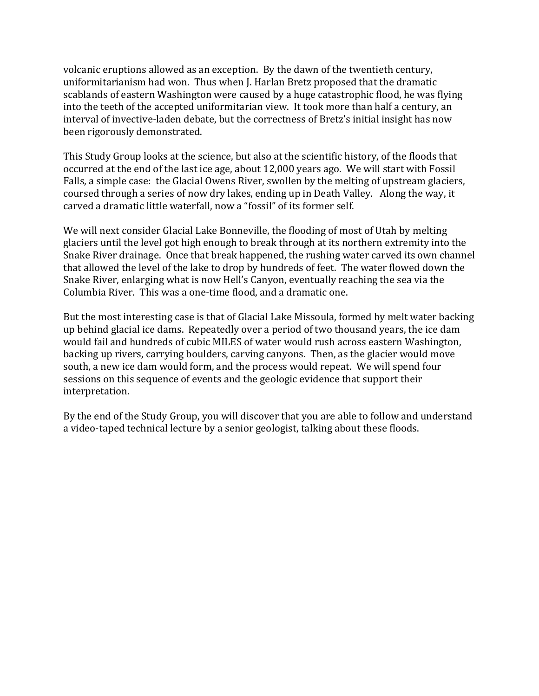volcanic eruptions allowed as an exception. By the dawn of the twentieth century, uniformitarianism had won. Thus when J. Harlan Bretz proposed that the dramatic scablands of eastern Washington were caused by a huge catastrophic flood, he was flying into the teeth of the accepted uniformitarian view. It took more than half a century, an interval of invective-laden debate, but the correctness of Bretz's initial insight has now been rigorously demonstrated.

This Study Group looks at the science, but also at the scientific history, of the floods that occurred at the end of the last ice age, about 12,000 years ago. We will start with Fossil Falls, a simple case: the Glacial Owens River, swollen by the melting of upstream glaciers, coursed through a series of now dry lakes, ending up in Death Valley. Along the way, it carved a dramatic little waterfall, now a "fossil" of its former self.

We will next consider Glacial Lake Bonneville, the flooding of most of Utah by melting glaciers until the level got high enough to break through at its northern extremity into the Snake River drainage. Once that break happened, the rushing water carved its own channel that allowed the level of the lake to drop by hundreds of feet. The water flowed down the Snake River, enlarging what is now Hell's Canyon, eventually reaching the sea via the Columbia River. This was a one-time flood, and a dramatic one.

But the most interesting case is that of Glacial Lake Missoula, formed by melt water backing up behind glacial ice dams. Repeatedly over a period of two thousand years, the ice dam would fail and hundreds of cubic MILES of water would rush across eastern Washington, backing up rivers, carrying boulders, carving canyons. Then, as the glacier would move south, a new ice dam would form, and the process would repeat. We will spend four sessions on this sequence of events and the geologic evidence that support their interpretation.

By the end of the Study Group, you will discover that you are able to follow and understand a video-taped technical lecture by a senior geologist, talking about these floods.